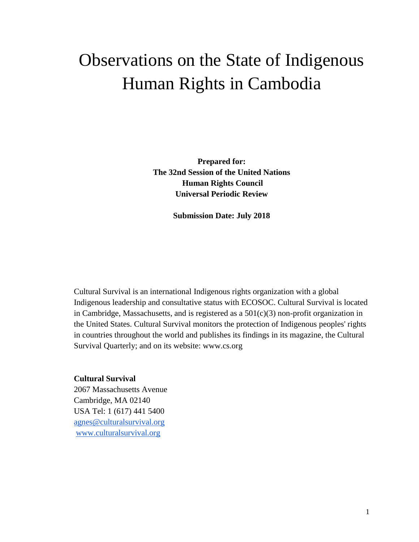# Observations on the State of Indigenous Human Rights in Cambodia

**Prepared for: The 32nd Session of the United Nations Human Rights Council Universal Periodic Review** 

**Submission Date: July 2018**

Cultural Survival is an international Indigenous rights organization with a global Indigenous leadership and consultative status with ECOSOC. Cultural Survival is located in Cambridge, Massachusetts, and is registered as a  $501(c)(3)$  non-profit organization in the United States. Cultural Survival monitors the protection of Indigenous peoples' rights in countries throughout the world and publishes its findings in its magazine, the Cultural Survival Quarterly; and on its website: www.cs.org

#### **Cultural Survival**

2067 Massachusetts Avenue Cambridge, MA 02140 USA Tel: 1 (617) 441 5400 [agnes@culturalsurvival.org](mailto:agnes@culturalsurvival.org) [www.culturalsurvival.org](http://www.culturalsurvival.org/)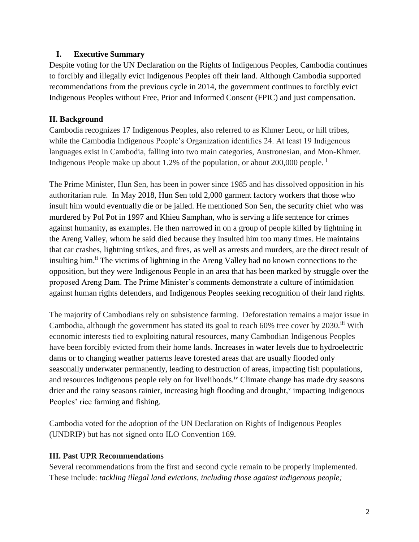### **I. Executive Summary**

Despite voting for the UN Declaration on the Rights of Indigenous Peoples, Cambodia continues to forcibly and illegally evict Indigenous Peoples off their land. Although Cambodia supported recommendations from the previous cycle in 2014, the government continues to forcibly evict Indigenous Peoples without Free, Prior and Informed Consent (FPIC) and just compensation.

# **II. Background**

Cambodia recognizes 17 Indigenous Peoples, also referred to as Khmer Leou, or hill tribes, while the Cambodia Indigenous People's Organization identifies 24. At least 19 Indigenous languages exist in Cambodia, falling into two main categories, Austronesian, and Mon-Khmer. Indigenous People make up about 1.2% of the population, or about 200,000 people.<sup>i</sup>

The Prime Minister, Hun Sen, has been in power since 1985 and has dissolved opposition in his authoritarian rule. In May 2018, Hun Sen told 2,000 garment factory workers that those who insult him would eventually die or be jailed. He mentioned Son Sen, the security chief who was murdered by Pol Pot in 1997 and Khieu Samphan, who is serving a life sentence for crimes against humanity, as examples. He then narrowed in on a group of people killed by lightning in the Areng Valley, whom he said died because they insulted him too many times. He maintains that car crashes, lightning strikes, and fires, as well as arrests and murders, are the direct result of insulting him.<sup>ii</sup> The victims of lightning in the Areng Valley had no known connections to the opposition, but they were Indigenous People in an area that has been marked by struggle over the proposed Areng Dam. The Prime Minister's comments demonstrate a culture of intimidation against human rights defenders, and Indigenous Peoples seeking recognition of their land rights.

The majority of Cambodians rely on subsistence farming. Deforestation remains a major issue in Cambodia, although the government has stated its goal to reach 60% tree cover by 2030.<sup>iii</sup> With economic interests tied to exploiting natural resources, many Cambodian Indigenous Peoples have been forcibly evicted from their home lands. Increases in water levels due to hydroelectric dams or to changing weather patterns leave forested areas that are usually flooded only seasonally underwater permanently, leading to destruction of areas, impacting fish populations, and resources Indigenous people rely on for livelihoods.<sup>iv</sup> Climate change has made dry seasons drier and the rainy seasons rainier, increasing high flooding and drought,<sup>v</sup> impacting Indigenous Peoples' rice farming and fishing.

Cambodia voted for the adoption of the UN Declaration on Rights of Indigenous Peoples (UNDRIP) but has not signed onto ILO Convention 169.

# **III. Past UPR Recommendations**

Several recommendations from the first and second cycle remain to be properly implemented. These include: *tackling illegal land evictions, including those against indigenous people;*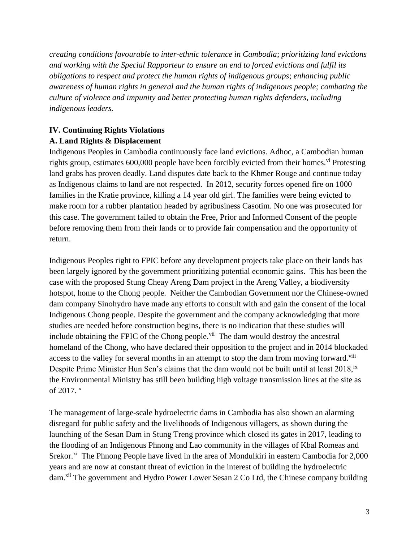*creating conditions favourable to inter-ethnic tolerance in Cambodia*; *prioritizing land evictions and working with the Special Rapporteur to ensure an end to forced evictions and fulfil its obligations to respect and protect the human rights of indigenous groups*; *enhancing public awareness of human rights in general and the human rights of indigenous people; combating the culture of violence and impunity and better protecting human rights defenders, including indigenous leaders.* 

# **IV. Continuing Rights Violations**

# **A. Land Rights & Displacement**

Indigenous Peoples in Cambodia continuously face land evictions. Adhoc, a Cambodian human rights group, estimates  $600,000$  people have been forcibly evicted from their homes.<sup>vi</sup> Protesting land grabs has proven deadly. Land disputes date back to the Khmer Rouge and continue today as Indigenous claims to land are not respected. In 2012, security forces opened fire on 1000 families in the Kratie province, killing a 14 year old girl. The families were being evicted to make room for a rubber plantation headed by agribusiness Casotim. No one was prosecuted for this case. The government failed to obtain the Free, Prior and Informed Consent of the people before removing them from their lands or to provide fair compensation and the opportunity of return.

Indigenous Peoples right to FPIC before any development projects take place on their lands has been largely ignored by the government prioritizing potential economic gains. This has been the case with the proposed Stung Cheay Areng Dam project in the Areng Valley, a biodiversity hotspot, home to the Chong people. Neither the Cambodian Government nor the Chinese-owned dam company Sinohydro have made any efforts to consult with and gain the consent of the local Indigenous Chong people. Despite the government and the company acknowledging that more studies are needed before construction begins, there is no indication that these studies will include obtaining the FPIC of the Chong people.<sup>vii</sup> The dam would destroy the ancestral homeland of the Chong, who have declared their opposition to the project and in 2014 blockaded access to the valley for several months in an attempt to stop the dam from moving forward.<sup>viii</sup> Despite Prime Minister Hun Sen's claims that the dam would not be built until at least 2018,<sup>ix</sup> the Environmental Ministry has still been building high voltage transmission lines at the site as of 2017. x

The management of large-scale hydroelectric dams in Cambodia has also shown an alarming disregard for public safety and the livelihoods of Indigenous villagers, as shown during the launching of the Sesan Dam in Stung Treng province which closed its gates in 2017, leading to the flooding of an Indigenous Phnong and Lao community in the villages of Kbal Romeas and Srekor.<sup>xi</sup> The Phnong People have lived in the area of Mondulkiri in eastern Cambodia for 2,000 years and are now at constant threat of eviction in the interest of building the hydroelectric dam. xii The government and Hydro Power Lower Sesan 2 Co Ltd, the Chinese company building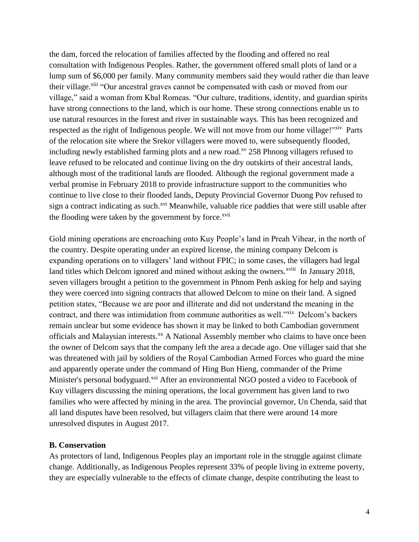the dam, forced the relocation of families affected by the flooding and offered no real consultation with Indigenous Peoples. Rather, the government offered small plots of land or a lump sum of \$6,000 per family. Many community members said they would rather die than leave their village.<sup>xiii</sup> "Our ancestral graves cannot be compensated with cash or moved from our village," said a woman from Kbal Romeas. "Our culture, traditions, identity, and guardian spirits have strong connections to the land, which is our home. These strong connections enable us to use natural resources in the forest and river in sustainable ways. This has been recognized and respected as the right of Indigenous people. We will not move from our home village!"<sup>xiv</sup> Parts of the relocation site where the Srekor villagers were moved to, were subsequently flooded, including newly established farming plots and a new road.<sup>xv</sup> 258 Phnong villagers refused to leave refused to be relocated and continue living on the dry outskirts of their ancestral lands, although most of the traditional lands are flooded. Although the regional government made a verbal promise in February 2018 to provide infrastructure support to the communities who continue to live close to their flooded lands, Deputy Provincial Governor Duong Pov refused to sign a contract indicating as such.<sup>xvi</sup> Meanwhile, valuable rice paddies that were still usable after the flooding were taken by the government by force.<sup>xvii</sup>

Gold mining operations are encroaching onto Kuy People's land in Preah Vihear, in the north of the country. Despite operating under an expired license, the mining company Delcom is expanding operations on to villagers' land without FPIC; in some cases, the villagers had legal land titles which Delcom ignored and mined without asking the owners.<sup>xviii</sup> In January 2018, seven villagers brought a petition to the government in Phnom Penh asking for help and saying they were coerced into signing contracts that allowed Delcom to mine on their land. A signed petition states, "Because we are poor and illiterate and did not understand the meaning in the contract, and there was intimidation from commune authorities as well."xix Delcom's backers remain unclear but some evidence has shown it may be linked to both Cambodian government officials and Malaysian interests.<sup>xx</sup> A National Assembly member who claims to have once been the owner of Delcom says that the company left the area a decade ago. One villager said that she was threatened with jail by soldiers of the Royal Cambodian Armed Forces who guard the mine and apparently operate under the command of Hing Bun Hieng, commander of the Prime Minister's personal bodyguard.<sup>xxi</sup> After an environmental NGO posted a video to Facebook of Kuy villagers discussing the mining operations, the local government has given land to two families who were affected by mining in the area. The provincial governor, Un Chenda, said that all land disputes have been resolved, but villagers claim that there were around 14 more unresolved disputes in August 2017.

#### **B. Conservation**

As protectors of land, Indigenous Peoples play an important role in the struggle against climate change. Additionally, as Indigenous Peoples represent 33% of people living in extreme poverty, they are especially vulnerable to the effects of climate change, despite contributing the least to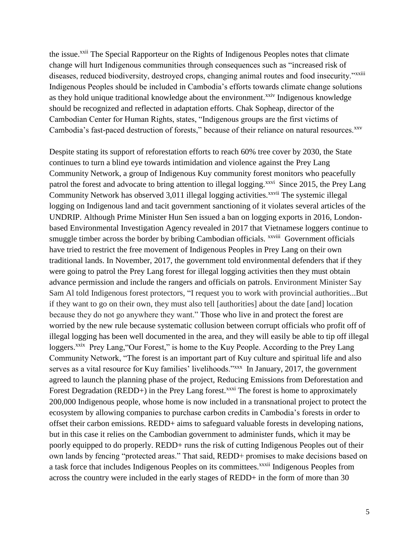the issue.<sup>xxii</sup> The Special Rapporteur on the Rights of Indigenous Peoples notes that climate change will hurt Indigenous communities through consequences such as "increased risk of diseases, reduced biodiversity, destroyed crops, changing animal routes and food insecurity."<sup>xxiii</sup> Indigenous Peoples should be included in Cambodia's efforts towards climate change solutions as they hold unique traditional knowledge about the environment.<sup>xxiv</sup> Indigenous knowledge should be recognized and reflected in adaptation efforts. Chak Sopheap, director of the Cambodian Center for Human Rights, states, "Indigenous groups are the first victims of Cambodia's fast-paced destruction of forests," because of their reliance on natural resources. XXV

Despite stating its support of reforestation efforts to reach 60% tree cover by 2030, the State continues to turn a blind eye towards intimidation and violence against the Prey Lang Community Network, a group of Indigenous Kuy community forest monitors who peacefully patrol the forest and advocate to bring attention to illegal logging.<sup>xxvi</sup> Since 2015, the Prey Lang Community Network has observed 3,011 illegal logging activities.<sup>xxvii</sup> The systemic illegal logging on Indigenous land and tacit government sanctioning of it violates several articles of the UNDRIP. Although Prime Minister Hun Sen issued a ban on logging exports in 2016, Londonbased Environmental Investigation Agency revealed in 2017 that Vietnamese loggers continue to smuggle timber across the border by bribing Cambodian officials. <sup>xxviii</sup> Government officials have tried to restrict the free movement of Indigenous Peoples in Prey Lang on their own traditional lands. In November, 2017, the government told environmental defenders that if they were going to patrol the Prey Lang forest for illegal logging activities then they must obtain advance permission and include the rangers and officials on patrols. Environment Minister Say Sam Al told Indigenous forest protectors, "I request you to work with provincial authorities...But if they want to go on their own, they must also tell [authorities] about the date [and] location because they do not go anywhere they want." Those who live in and protect the forest are worried by the new rule because systematic collusion between corrupt officials who profit off of illegal logging has been well documented in the area, and they will easily be able to tip off illegal loggers.<sup>xxix</sup> Prey Lang, "Our Forest," is home to the Kuy People. According to the Prey Lang Community Network, "The forest is an important part of Kuy culture and spiritual life and also serves as a vital resource for Kuy families' livelihoods."<sup>xxx</sup> In January, 2017, the government agreed to launch the planning phase of the project, Reducing Emissions from Deforestation and Forest Degradation (REDD+) in the Prey Lang forest.<sup>xxxi</sup> The forest is home to approximately 200,000 Indigenous people, whose home is now included in a transnational project to protect the ecosystem by allowing companies to purchase carbon credits in Cambodia's forests in order to offset their carbon emissions. REDD+ aims to safeguard valuable forests in developing nations, but in this case it relies on the Cambodian government to administer funds, which it may be poorly equipped to do properly. REDD+ runs the risk of cutting Indigenous Peoples out of their own lands by fencing "protected areas." That said, REDD+ promises to make decisions based on a task force that includes Indigenous Peoples on its committees.<sup>xxxii</sup> Indigenous Peoples from across the country were included in the early stages of REDD+ in the form of more than 30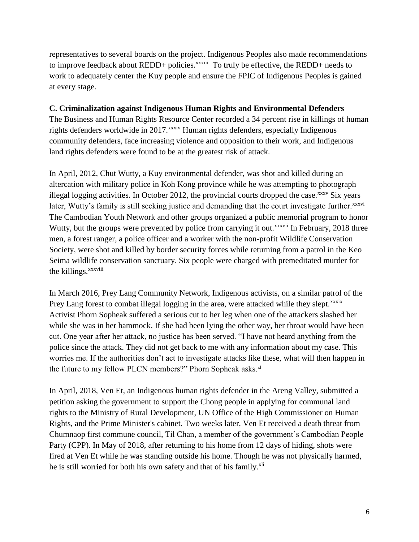representatives to several boards on the project. Indigenous Peoples also made recommendations to improve feedback about REDD+ policies.<sup>xxxiii</sup> To truly be effective, the REDD+ needs to work to adequately center the Kuy people and ensure the FPIC of Indigenous Peoples is gained at every stage.

### **C. Criminalization against Indigenous Human Rights and Environmental Defenders**

The Business and Human Rights Resource Center recorded a 34 percent rise in killings of human rights defenders worldwide in 2017.<sup>xxxiv</sup> Human rights defenders, especially Indigenous community defenders, face increasing violence and opposition to their work, and Indigenous land rights defenders were found to be at the greatest risk of attack.

In April, 2012, Chut Wutty, a Kuy environmental defender, was shot and killed during an altercation with military police in Koh Kong province while he was attempting to photograph illegal logging activities. In October 2012, the provincial courts dropped the case. $xxxv$  Six years later, Wutty's family is still seeking justice and demanding that the court investigate further.<sup>xxxvi</sup> The Cambodian Youth Network and other groups organized a public memorial program to honor Wutty, but the groups were prevented by police from carrying it out.<sup>xxxvii</sup> In February, 2018 three men, a forest ranger, a police officer and a worker with the non-profit Wildlife Conservation Society, were shot and killed by border security forces while returning from a patrol in the Keo Seima wildlife conservation sanctuary. Six people were charged with premeditated murder for the killings.<sup>xxxviii</sup>

In March 2016, Prey Lang Community Network, Indigenous activists, on a similar patrol of the Prey Lang forest to combat illegal logging in the area, were attacked while they slept.<sup>xxxix</sup> Activist Phorn Sopheak suffered a serious cut to her leg when one of the attackers slashed her while she was in her hammock. If she had been lying the other way, her throat would have been cut. One year after her attack, no justice has been served. "I have not heard anything from the police since the attack. They did not get back to me with any information about my case. This worries me. If the authorities don't act to investigate attacks like these, what will then happen in the future to my fellow PLCN members?" Phorn Sopheak asks.<sup>xl</sup>

In April, 2018, Ven Et, an Indigenous human rights defender in the Areng Valley, submitted a petition asking the government to support the Chong people in applying for communal land rights to the Ministry of Rural Development, UN Office of the High Commissioner on Human Rights, and the Prime Minister's cabinet. Two weeks later, Ven Et received a death threat from Chumnaop first commune council, Til Chan, a member of the government's Cambodian People Party (CPP). In May of 2018, after returning to his home from 12 days of hiding, shots were fired at Ven Et while he was standing outside his home. Though he was not physically harmed, he is still worried for both his own safety and that of his family.<sup>xli</sup>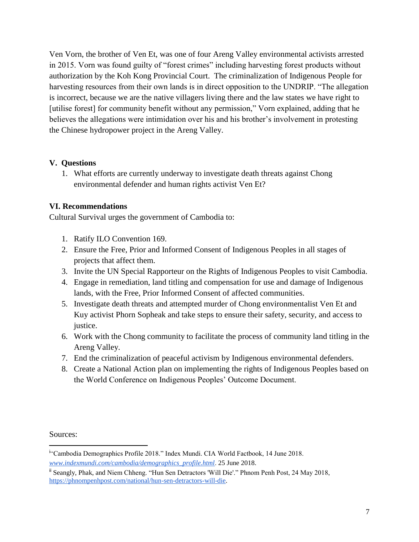Ven Vorn, the brother of Ven Et, was one of four Areng Valley environmental activists arrested in 2015. Vorn was found guilty of "forest crimes" including harvesting forest products without authorization by the Koh Kong Provincial Court. The criminalization of Indigenous People for harvesting resources from their own lands is in direct opposition to the UNDRIP. "The allegation is incorrect, because we are the native villagers living there and the law states we have right to [utilise forest] for community benefit without any permission," Vorn explained, adding that he believes the allegations were intimidation over his and his brother's involvement in protesting the Chinese hydropower project in the Areng Valley.

## **V. Questions**

1. What efforts are currently underway to investigate death threats against Chong environmental defender and human rights activist Ven Et?

### **VI. Recommendations**

Cultural Survival urges the government of Cambodia to:

- 1. Ratify ILO Convention 169.
- 2. Ensure the Free, Prior and Informed Consent of Indigenous Peoples in all stages of projects that affect them.
- 3. Invite the UN Special Rapporteur on the Rights of Indigenous Peoples to visit Cambodia.
- 4. Engage in remediation, land titling and compensation for use and damage of Indigenous lands, with the Free, Prior Informed Consent of affected communities.
- 5. Investigate death threats and attempted murder of Chong environmentalist Ven Et and Kuy activist Phorn Sopheak and take steps to ensure their safety, security, and access to justice.
- 6. Work with the Chong community to facilitate the process of community land titling in the Areng Valley.
- 7. End the criminalization of peaceful activism by Indigenous environmental defenders.
- 8. Create a National Action plan on implementing the rights of Indigenous Peoples based on the World Conference on Indigenous Peoples' Outcome Document.

Sources:

<sup>&</sup>lt;sup>k</sup>'Cambodia Demographics Profile 2018." Index Mundi. CIA World Factbook, 14 June 2018. *[www.indexmundi.com/cambodia/demographics\\_profile.html](https://www.indexmundi.com/cambodia/demographics_profile.html)*. 25 June 2018.

ii Seangly, Phak, and Niem Chheng. "Hun Sen Detractors 'Will Die'." Phnom Penh Post, 24 May 2018, [https://phnompenhpost.com/national/hun-sen-detractors-will-die.](https://phnompenhpost.com/national/hun-sen-detractors-will-die)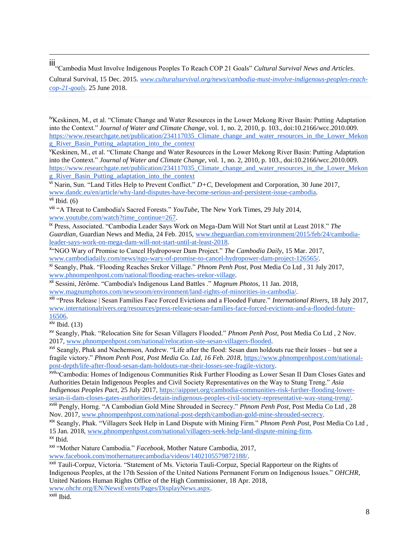iii"Cambodia Must Involve Indigenous Peoples To Reach COP 21 Goals" *Cultural Survival News and Articles*.

Cultural Survival, 15 Dec. 2015. *[www.culturalsurvival.org/news/cambodia-must-involve-indigenous-peoples-reach](https://www.culturalsurvival.org/news/cambodia-must-involve-indigenous-peoples-reach-cop-21-goals)[cop-21-goals.](https://www.culturalsurvival.org/news/cambodia-must-involve-indigenous-peoples-reach-cop-21-goals)* 25 June 2018.

<sup>iv</sup>Keskinen, M., et al. "Climate Change and Water Resources in the Lower Mekong River Basin: Putting Adaptation into the Context." *Journal of Water and Climate Change*, vol. 1, no. 2, 2010, p. 103., doi:10.2166/wcc.2010.009. [https://www.researchgate.net/publication/234117035\\_Climate\\_change\\_and\\_water\\_resources\\_in\\_the\\_Lower\\_Mekon](https://www.researchgate.net/publication/234117035_Climate_change_and_water_resources_in_the_Lower_Mekong_River_Basin_Putting_adaptation_into_the_context) g\_River\_Basin\_Putting\_adaptation\_into\_the\_context

<sup>V</sup>Keskinen, M., et al. "Climate Change and Water Resources in the Lower Mekong River Basin: Putting Adaptation into the Context." *Journal of Water and Climate Change*, vol. 1, no. 2, 2010, p. 103., doi:10.2166/wcc.2010.009. [https://www.researchgate.net/publication/234117035\\_Climate\\_change\\_and\\_water\\_resources\\_in\\_the\\_Lower\\_Mekon](https://www.researchgate.net/publication/234117035_Climate_change_and_water_resources_in_the_Lower_Mekong_River_Basin_Putting_adaptation_into_the_context) [g\\_River\\_Basin\\_Putting\\_adaptation\\_into\\_the\\_context](https://www.researchgate.net/publication/234117035_Climate_change_and_water_resources_in_the_Lower_Mekong_River_Basin_Putting_adaptation_into_the_context)

vi Narin, Sun. "Land Titles Help to Prevent Conflict." *D+C*, Development and Corporation, 30 June 2017, [www.dandc.eu/en/article/why-land-disputes-have-become-serious-and-persistent-issue-cambodia.](http://www.dandc.eu/en/article/why-land-disputes-have-become-serious-and-persistent-issue-cambodia)  $vii$  Ibid. (6)

viii "A Threat to Cambodia's Sacred Forests." *YouTube*, The New York Times, 29 July 2014, [www.youtube.com/watch?time\\_continue=267.](http://www.youtube.com/watch?time_continue=267)

ix Press, Associated. "Cambodia Leader Says Work on Mega-Dam Will Not Start until at Least 2018." *The Guardian*, Guardian News and Media, 24 Feb. 2015, [www.theguardian.com/environment/2015/feb/24/cambodia](http://www.theguardian.com/environment/2015/feb/24/cambodia-leader-says-work-on-mega-dam-will-not-start-until-at-least-2018)[leader-says-work-on-mega-dam-will-not-start-until-at-least-2018.](http://www.theguardian.com/environment/2015/feb/24/cambodia-leader-says-work-on-mega-dam-will-not-start-until-at-least-2018)

x "NGO Wary of Promise to Cancel Hydropower Dam Project." *The Cambodia Daily*, 15 Mar. 2017, [www.cambodiadaily.com/news/ngo-wary-of-promise-to-cancel-hydropower-dam-project-126565/.](http://www.cambodiadaily.com/news/ngo-wary-of-promise-to-cancel-hydropower-dam-project-126565/)

xi Seangly, Phak. "Flooding Reaches Srekor Village." *Phnom Penh Post*, Post Media Co Ltd , 31 July 2017, [www.phnompenhpost.com/national/flooding-reaches-srekor-village.](http://www.phnompenhpost.com/national/flooding-reaches-srekor-village)

xii Sessini, Jérôme. "Cambodia's Indigenous Land Battles ." *Magnum Photos*, 11 Jan. 2018, [www.magnumphotos.com/newsroom/environment/land-rights-of-minorities-in-cambodia/.](http://www.magnumphotos.com/newsroom/environment/land-rights-of-minorities-in-cambodia/)

xiii "Press Release | Sesan Families Face Forced Evictions and a Flooded Future." *International Rivers*, 18 July 2017, [www.internationalrivers.org/resources/press-release-sesan-families-face-forced-evictions-and-a-flooded-future-](http://www.internationalrivers.org/resources/press-release-sesan-families-face-forced-evictions-and-a-flooded-future-16506)[16506.](http://www.internationalrivers.org/resources/press-release-sesan-families-face-forced-evictions-and-a-flooded-future-16506)

 $x^iv$  Ibid. (13)

xv Seangly, Phak. "Relocation Site for Sesan Villagers Flooded." *Phnom Penh Post*, Post Media Co Ltd , 2 Nov. 2017, [www.phnompenhpost.com/national/relocation-site-sesan-villagers-flooded.](http://www.phnompenhpost.com/national/relocation-site-sesan-villagers-flooded) 

xvi Seangly, Phak and Nachemson, Andrew. "Life after the flood: Sesan dam holdouts rue their losses – but see a fragile victory." *Phnom Penh Post, Post Media Co. Ltd, 16 Feb. 2018*, [https://www.phnompenhpost.com/national](https://www.phnompenhpost.com/national-post-depth/life-after-flood-sesan-dam-holdouts-rue-their-losses-see-fragile-victory)[post-depth/life-after-flood-sesan-dam-holdouts-rue-their-losses-see-fragile-victory.](https://www.phnompenhpost.com/national-post-depth/life-after-flood-sesan-dam-holdouts-rue-their-losses-see-fragile-victory)

xvii"Cambodia: Homes of Indigenous Communities Risk Further Flooding as Lower Sesan II Dam Closes Gates and Authorities Detain Indigenous Peoples and Civil Society Representatives on the Way to Stung Treng." *Asia Indigenous Peoples Pact*, 25 July 2017, [https://aippnet.org/cambodia-communities-risk-further-flooding-lower](https://aippnet.org/cambodia-communities-risk-further-flooding-lower-sesan-ii-dam-closes-gates-authorities-detain-indigenous-peoples-civil-society-representative-way-stung-treng/)[sesan-ii-dam-closes-gates-authorities-detain-indigenous-peoples-civil-society-representative-way-stung-treng/.](https://aippnet.org/cambodia-communities-risk-further-flooding-lower-sesan-ii-dam-closes-gates-authorities-detain-indigenous-peoples-civil-society-representative-way-stung-treng/)

xviii Pengly, Horng. "A Cambodian Gold Mine Shrouded in Secrecy." *Phnom Penh Post*, Post Media Co Ltd , 28 Nov. 2017, [www.phnompenhpost.com/national-post-depth/cambodian-gold-mine-shrouded-secrecy.](http://www.phnompenhpost.com/national-post-depth/cambodian-gold-mine-shrouded-secrecy)

xix Seangly, Phak. "Villagers Seek Help in Land Dispute with Mining Firm." *Phnom Penh Post*, Post Media Co Ltd , 15 Jan. 2018, [www.phnompenhpost.com/national/villagers-seek-help-land-dispute-mining-firm.](http://www.phnompenhpost.com/national/villagers-seek-help-land-dispute-mining-firm) 

xx Ibid.

xxi "Mother Nature Cambodia." *Facebook*, Mother Nature Cambodia, 2017, [www.facebook.com/mothernaturecambodia/videos/1402105579872188/.](http://www.facebook.com/mothernaturecambodia/videos/1402105579872188/)

xxii Tauli-Corpuz, Victoria. "Statement of Ms. Victoria Tauli-Corpuz, Special Rapporteur on the Rights of Indigenous Peoples, at the 17th Session of the United Nations Permanent Forum on Indigenous Issues." *OHCHR*, United Nations Human Rights Office of the High Commissioner, 18 Apr. 2018,

[www.ohchr.org/EN/NewsEvents/Pages/DisplayNews.aspx.](http://www.ohchr.org/EN/NewsEvents/Pages/DisplayNews.aspx)

xxiii Ibid.